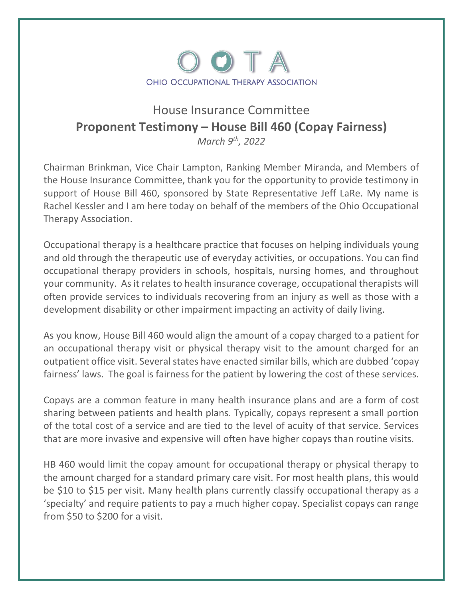

## House Insurance Committee **Proponent Testimony – House Bill 460 (Copay Fairness)**

*March 9 th, 2022*

Chairman Brinkman, Vice Chair Lampton, Ranking Member Miranda, and Members of the House Insurance Committee, thank you for the opportunity to provide testimony in support of House Bill 460, sponsored by State Representative Jeff LaRe. My name is Rachel Kessler and I am here today on behalf of the members of the Ohio Occupational Therapy Association.

Occupational therapy is a healthcare practice that focuses on helping individuals young and old through the therapeutic use of everyday activities, or occupations. You can find occupational therapy providers in schools, hospitals, nursing homes, and throughout your community. As it relates to health insurance coverage, occupational therapists will often provide services to individuals recovering from an injury as well as those with a development disability or other impairment impacting an activity of daily living.

As you know, House Bill 460 would align the amount of a copay charged to a patient for an occupational therapy visit or physical therapy visit to the amount charged for an outpatient office visit. Several states have enacted similar bills, which are dubbed 'copay fairness' laws. The goal is fairness for the patient by lowering the cost of these services.

Copays are a common feature in many health insurance plans and are a form of cost sharing between patients and health plans. Typically, copays represent a small portion of the total cost of a service and are tied to the level of acuity of that service. Services that are more invasive and expensive will often have higher copays than routine visits.

HB 460 would limit the copay amount for occupational therapy or physical therapy to the amount charged for a standard primary care visit. For most health plans, this would be \$10 to \$15 per visit. Many health plans currently classify occupational therapy as a 'specialty' and require patients to pay a much higher copay. Specialist copays can range from \$50 to \$200 for a visit.